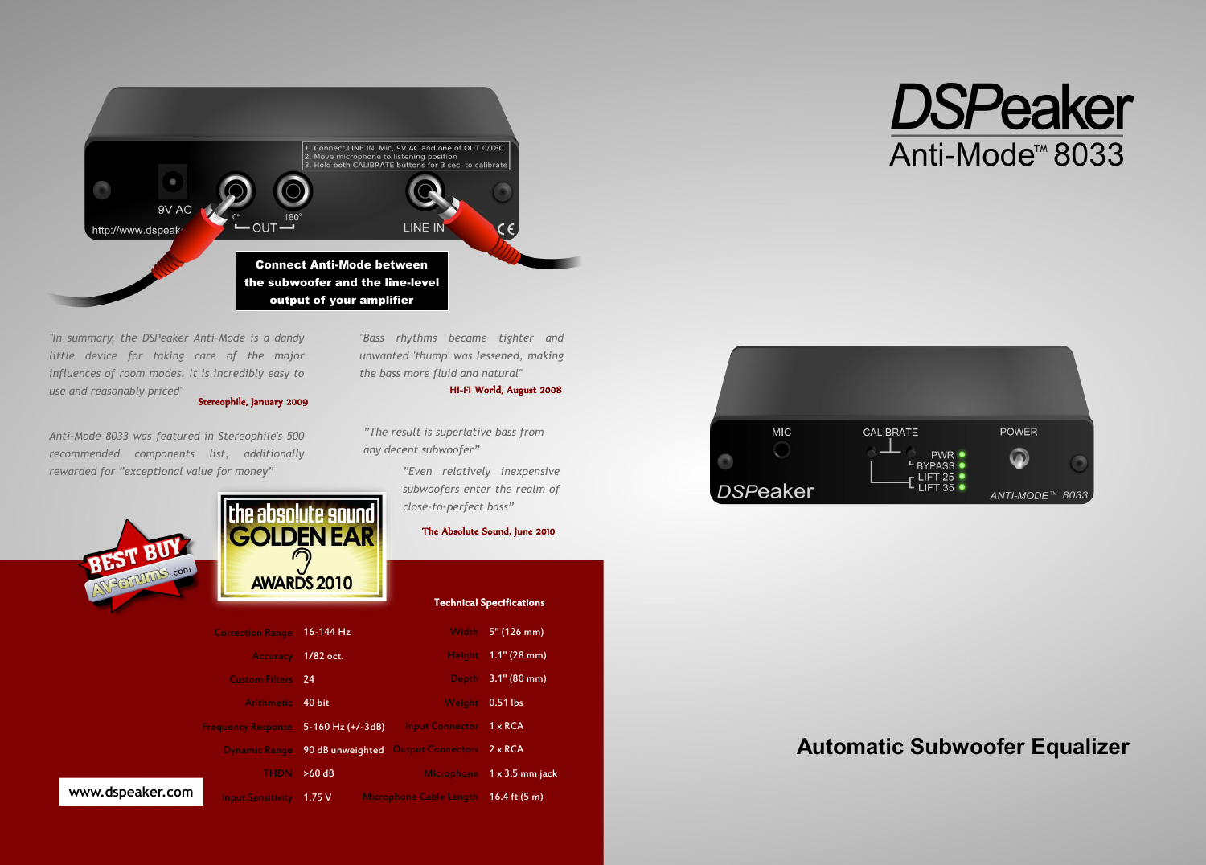

*"In summary, the DSPeaker Anti-Mode is a dandy little device for taking care of the major influences of room modes. It is incredibly easy to use and reasonably priced"* Stereophile, January 2009

*Anti-Mode 8033 was featured in Stereophile's 500 recommended components list, additionally rewarded for "exceptional value for money"*





|                                   |                       |                                    | <b>Technical Specifications</b> |
|-----------------------------------|-----------------------|------------------------------------|---------------------------------|
| <b>Correction Range 16-144 Hz</b> |                       |                                    | Width 5" (126 mm)               |
|                                   | Accuracy 1/82 oct.    |                                    | Height 1.1" (28 mm)             |
| <b>Custom Filters</b> 24          |                       |                                    | Depth 3.1" (80 mm)              |
| Arithmetic 40 bit                 |                       | <b>Weight</b>                      | 0.51 lbs                        |
| <b>Frequency Response</b>         | $5-160$ Hz $(+/-3dB)$ | <b>Input Connector</b>             | $1 \times RCA$                  |
| <b>Dynamic Range</b>              |                       | 90 dB unweighted Output Connectors | $2 \times RCA$                  |
| <b>THDN</b>                       | >60 dB                | <b>Microphone</b>                  | $1 \times 3.5$ mm jack          |
| <b>Input Sensitivity</b>          | 1.75V                 | Microphone Cable Length            | 16.4 ft $(5 m)$                 |

*"Bass rhythms became tighter and unwanted 'thump' was lessened, making the bass more fluid and natural"*

## HI-FI World, August 2008

*"The result is superlative bass from any decent subwoofer"*

> *"Even relatively inexpensive subwoofers enter the realm of close-to-perfect bass"*

> > The Absolute Sound, June 2010

| <b>MIC</b> | <b>CALIBRATE</b>                       | <b>POWER</b>    |
|------------|----------------------------------------|-----------------|
|            | PWR $\bullet$<br>LBYPASS O             |                 |
|            | LIFT 25 $\bullet$<br>LIFT 35 $\bullet$ |                 |
| DSPeaker   |                                        | ANTI-MODE™ 8033 |

**DSPeaker** 

Anti-Mode<sup>™</sup>8033

## **Automatic Subwoofer Equalizer**

## **www.dspeaker.com**